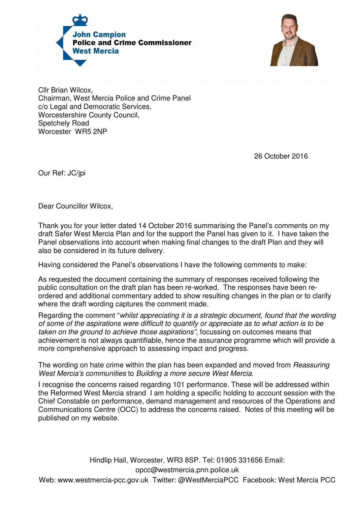



Cllr Brian Wilcox, Chairman, West Mercia Police and Crime Panel c/o Legal and Democratic Services, Worcestershire County Council, Spetchely Road Worcester WR5 2NP

26 October 2016

Our Ref: JC/jpi

Dear Councillor Wilcox,

Thank you for your letter dated 14 October 2016 summarising the Panel's comments on my draft Safer West Mercia Plan and for the support the Panel has given to it. I have taken the Panel observations into account when making final changes to the draft Plan and they will also be considered in its future delivery.

Having considered the Panel's observations I have the following comments to make:

As requested the document containing the summary of responses received following the public consultation on the draft plan has been re-worked. The responses have been reordered and additional commentary added to show resulting changes in the plan or to clarify where the draft wording captures the comment made.

Regarding the comment "whilst appreciating it is a strategic document, found that the wording of some of the aspirations were difficult to quantify or appreciate as to what action is to be taken on the ground to achieve those aspirations", focussing on outcomes means that achievement is not always quantifiable, hence the assurance programme which will provide a more comprehensive approach to assessing impact and progress.

The wording on hate crime within the plan has been expanded and moved from *Reassuring* West Mercia's communities to Building a more secure West Mercia.

I recognise the concerns raised regarding 101 performance. These will be addressed within the Reformed West Mercia strand I am holding a specific holding to account session with the Chief Constable on performance, demand management and resources of the Operations and Communications Centre (OCC) to address the concerns raised. Notes of this meeting will be published on my website.